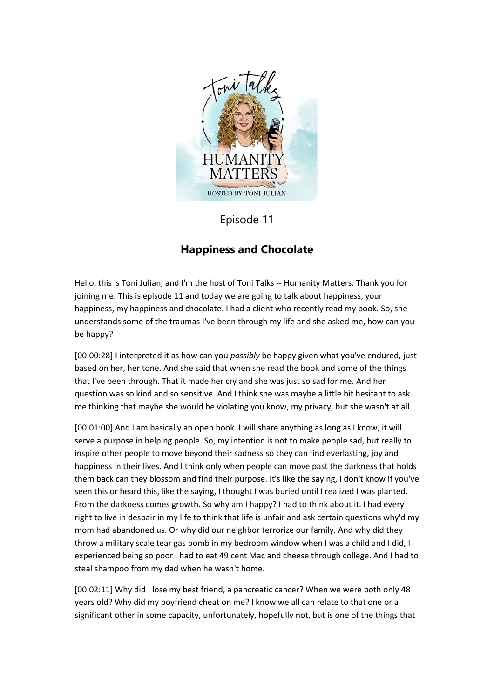

Episode 11

## **Happiness and Chocolate**

Hello, this is Toni Julian, and I'm the host of Toni Talks -- Humanity Matters. Thank you for joining me. This is episode 11 and today we are going to talk about happiness, your happiness, my happiness and chocolate. I had a client who recently read my book. So, she understands some of the traumas I've been through my life and she asked me, how can you be happy?

[00:00:28] I interpreted it as how can you *possibly* be happy given what you've endured, just based on her, her tone. And she said that when she read the book and some of the things that I've been through. That it made her cry and she was just so sad for me. And her question was so kind and so sensitive. And I think she was maybe a little bit hesitant to ask me thinking that maybe she would be violating you know, my privacy, but she wasn't at all.

[00:01:00] And I am basically an open book. I will share anything as long as I know, it will serve a purpose in helping people. So, my intention is not to make people sad, but really to inspire other people to move beyond their sadness so they can find everlasting, joy and happiness in their lives. And I think only when people can move past the darkness that holds them back can they blossom and find their purpose. It's like the saying, I don't know if you've seen this or heard this, like the saying, I thought I was buried until I realized I was planted. From the darkness comes growth. So why am I happy? I had to think about it. I had every right to live in despair in my life to think that life is unfair and ask certain questions why'd my mom had abandoned us. Or why did our neighbor terrorize our family. And why did they throw a military scale tear gas bomb in my bedroom window when I was a child and I did, I experienced being so poor I had to eat 49 cent Mac and cheese through college. And I had to steal shampoo from my dad when he wasn't home.

[00:02:11] Why did I lose my best friend, a pancreatic cancer? When we were both only 48 years old? Why did my boyfriend cheat on me? I know we all can relate to that one or a significant other in some capacity, unfortunately, hopefully not, but is one of the things that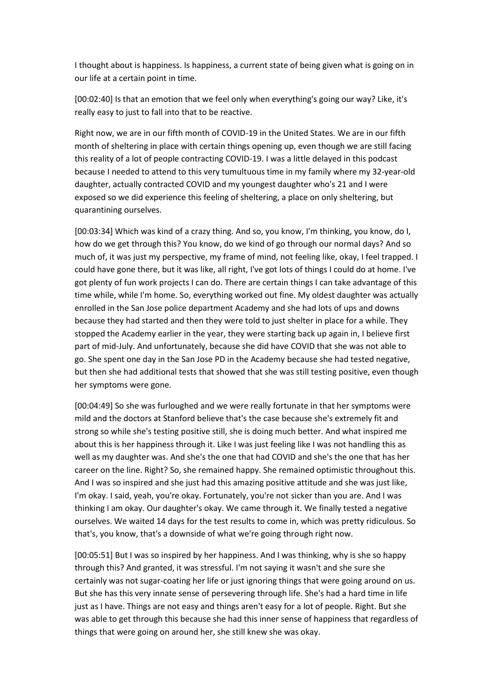I thought about is happiness. Is happiness, a current state of being given what is going on in our life at a certain point in time.

[00:02:40] Is that an emotion that we feel only when everything's going our way? Like, it's really easy to just to fall into that to be reactive.

Right now, we are in our fifth month of COVID-19 in the United States. We are in our fifth month of sheltering in place with certain things opening up, even though we are still facing this reality of a lot of people contracting COVID-19. I was a little delayed in this podcast because I needed to attend to this very tumultuous time in my family where my 32-year-old daughter, actually contracted COVID and my youngest daughter who's 21 and I were exposed so we did experience this feeling of sheltering, a place on only sheltering, but quarantining ourselves.

[00:03:34] Which was kind of a crazy thing. And so, you know, I'm thinking, you know, do I, how do we get through this? You know, do we kind of go through our normal days? And so much of, it was just my perspective, my frame of mind, not feeling like, okay, I feel trapped. I could have gone there, but it was like, all right, I've got lots of things I could do at home. I've got plenty of fun work projects I can do. There are certain things I can take advantage of this time while, while I'm home. So, everything worked out fine. My oldest daughter was actually enrolled in the San Jose police department Academy and she had lots of ups and downs because they had started and then they were told to just shelter in place for a while. They stopped the Academy earlier in the year, they were starting back up again in, I believe first part of mid-July. And unfortunately, because she did have COVID that she was not able to go. She spent one day in the San Jose PD in the Academy because she had tested negative, but then she had additional tests that showed that she was still testing positive, even though her symptoms were gone.

[00:04:49] So she was furloughed and we were really fortunate in that her symptoms were mild and the doctors at Stanford believe that's the case because she's extremely fit and strong so while she's testing positive still, she is doing much better. And what inspired me about this is her happiness through it. Like I was just feeling like I was not handling this as well as my daughter was. And she's the one that had COVID and she's the one that has her career on the line. Right? So, she remained happy. She remained optimistic throughout this. And I was so inspired and she just had this amazing positive attitude and she was just like, I'm okay. I said, yeah, you're okay. Fortunately, you're not sicker than you are. And I was thinking I am okay. Our daughter's okay. We came through it. We finally tested a negative ourselves. We waited 14 days for the test results to come in, which was pretty ridiculous. So that's, you know, that's a downside of what we're going through right now.

[00:05:51] But I was so inspired by her happiness. And I was thinking, why is she so happy through this? And granted, it was stressful. I'm not saying it wasn't and she sure she certainly was not sugar-coating her life or just ignoring things that were going around on us. But she has this very innate sense of persevering through life. She's had a hard time in life just as I have. Things are not easy and things aren't easy for a lot of people. Right. But she was able to get through this because she had this inner sense of happiness that regardless of things that were going on around her, she still knew she was okay.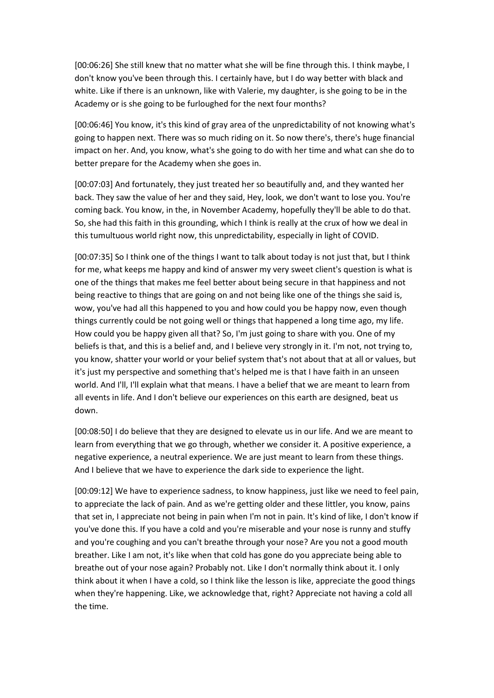[00:06:26] She still knew that no matter what she will be fine through this. I think maybe, I don't know you've been through this. I certainly have, but I do way better with black and white. Like if there is an unknown, like with Valerie, my daughter, is she going to be in the Academy or is she going to be furloughed for the next four months?

[00:06:46] You know, it's this kind of gray area of the unpredictability of not knowing what's going to happen next. There was so much riding on it. So now there's, there's huge financial impact on her. And, you know, what's she going to do with her time and what can she do to better prepare for the Academy when she goes in.

[00:07:03] And fortunately, they just treated her so beautifully and, and they wanted her back. They saw the value of her and they said, Hey, look, we don't want to lose you. You're coming back. You know, in the, in November Academy, hopefully they'll be able to do that. So, she had this faith in this grounding, which I think is really at the crux of how we deal in this tumultuous world right now, this unpredictability, especially in light of COVID.

[00:07:35] So I think one of the things I want to talk about today is not just that, but I think for me, what keeps me happy and kind of answer my very sweet client's question is what is one of the things that makes me feel better about being secure in that happiness and not being reactive to things that are going on and not being like one of the things she said is, wow, you've had all this happened to you and how could you be happy now, even though things currently could be not going well or things that happened a long time ago, my life. How could you be happy given all that? So, I'm just going to share with you. One of my beliefs is that, and this is a belief and, and I believe very strongly in it. I'm not, not trying to, you know, shatter your world or your belief system that's not about that at all or values, but it's just my perspective and something that's helped me is that I have faith in an unseen world. And I'll, I'll explain what that means. I have a belief that we are meant to learn from all events in life. And I don't believe our experiences on this earth are designed, beat us down.

[00:08:50] I do believe that they are designed to elevate us in our life. And we are meant to learn from everything that we go through, whether we consider it. A positive experience, a negative experience, a neutral experience. We are just meant to learn from these things. And I believe that we have to experience the dark side to experience the light.

[00:09:12] We have to experience sadness, to know happiness, just like we need to feel pain, to appreciate the lack of pain. And as we're getting older and these littler, you know, pains that set in, I appreciate not being in pain when I'm not in pain. It's kind of like, I don't know if you've done this. If you have a cold and you're miserable and your nose is runny and stuffy and you're coughing and you can't breathe through your nose? Are you not a good mouth breather. Like I am not, it's like when that cold has gone do you appreciate being able to breathe out of your nose again? Probably not. Like I don't normally think about it. I only think about it when I have a cold, so I think like the lesson is like, appreciate the good things when they're happening. Like, we acknowledge that, right? Appreciate not having a cold all the time.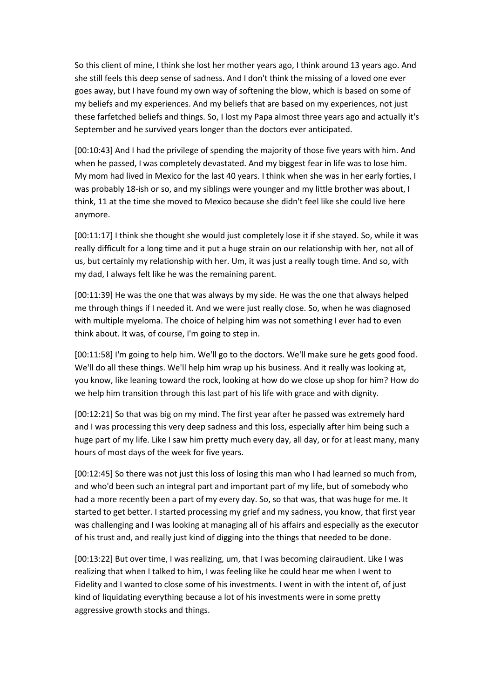So this client of mine, I think she lost her mother years ago, I think around 13 years ago. And she still feels this deep sense of sadness. And I don't think the missing of a loved one ever goes away, but I have found my own way of softening the blow, which is based on some of my beliefs and my experiences. And my beliefs that are based on my experiences, not just these farfetched beliefs and things. So, I lost my Papa almost three years ago and actually it's September and he survived years longer than the doctors ever anticipated.

[00:10:43] And I had the privilege of spending the majority of those five years with him. And when he passed, I was completely devastated. And my biggest fear in life was to lose him. My mom had lived in Mexico for the last 40 years. I think when she was in her early forties, I was probably 18-ish or so, and my siblings were younger and my little brother was about, I think, 11 at the time she moved to Mexico because she didn't feel like she could live here anymore.

[00:11:17] I think she thought she would just completely lose it if she stayed. So, while it was really difficult for a long time and it put a huge strain on our relationship with her, not all of us, but certainly my relationship with her. Um, it was just a really tough time. And so, with my dad, I always felt like he was the remaining parent.

[00:11:39] He was the one that was always by my side. He was the one that always helped me through things if I needed it. And we were just really close. So, when he was diagnosed with multiple myeloma. The choice of helping him was not something I ever had to even think about. It was, of course, I'm going to step in.

[00:11:58] I'm going to help him. We'll go to the doctors. We'll make sure he gets good food. We'll do all these things. We'll help him wrap up his business. And it really was looking at, you know, like leaning toward the rock, looking at how do we close up shop for him? How do we help him transition through this last part of his life with grace and with dignity.

[00:12:21] So that was big on my mind. The first year after he passed was extremely hard and I was processing this very deep sadness and this loss, especially after him being such a huge part of my life. Like I saw him pretty much every day, all day, or for at least many, many hours of most days of the week for five years.

[00:12:45] So there was not just this loss of losing this man who I had learned so much from, and who'd been such an integral part and important part of my life, but of somebody who had a more recently been a part of my every day. So, so that was, that was huge for me. It started to get better. I started processing my grief and my sadness, you know, that first year was challenging and I was looking at managing all of his affairs and especially as the executor of his trust and, and really just kind of digging into the things that needed to be done.

[00:13:22] But over time, I was realizing, um, that I was becoming clairaudient. Like I was realizing that when I talked to him, I was feeling like he could hear me when I went to Fidelity and I wanted to close some of his investments. I went in with the intent of, of just kind of liquidating everything because a lot of his investments were in some pretty aggressive growth stocks and things.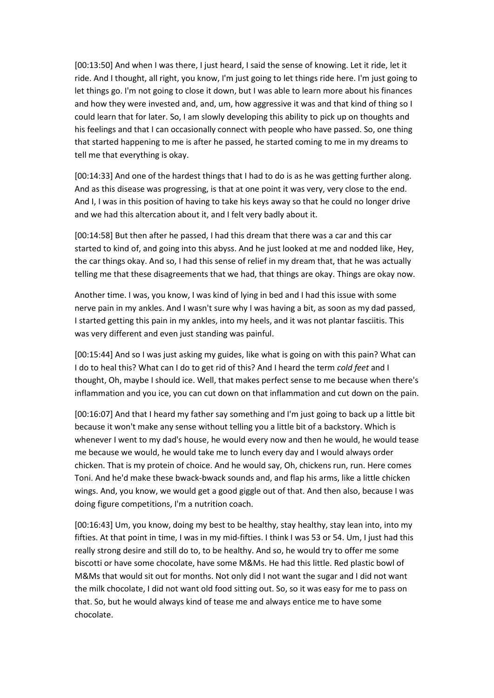[00:13:50] And when I was there, I just heard, I said the sense of knowing. Let it ride, let it ride. And I thought, all right, you know, I'm just going to let things ride here. I'm just going to let things go. I'm not going to close it down, but I was able to learn more about his finances and how they were invested and, and, um, how aggressive it was and that kind of thing so I could learn that for later. So, I am slowly developing this ability to pick up on thoughts and his feelings and that I can occasionally connect with people who have passed. So, one thing that started happening to me is after he passed, he started coming to me in my dreams to tell me that everything is okay.

[00:14:33] And one of the hardest things that I had to do is as he was getting further along. And as this disease was progressing, is that at one point it was very, very close to the end. And I, I was in this position of having to take his keys away so that he could no longer drive and we had this altercation about it, and I felt very badly about it.

[00:14:58] But then after he passed, I had this dream that there was a car and this car started to kind of, and going into this abyss. And he just looked at me and nodded like, Hey, the car things okay. And so, I had this sense of relief in my dream that, that he was actually telling me that these disagreements that we had, that things are okay. Things are okay now.

Another time. I was, you know, I was kind of lying in bed and I had this issue with some nerve pain in my ankles. And I wasn't sure why I was having a bit, as soon as my dad passed, I started getting this pain in my ankles, into my heels, and it was not plantar fasciitis. This was very different and even just standing was painful.

[00:15:44] And so I was just asking my guides, like what is going on with this pain? What can I do to heal this? What can I do to get rid of this? And I heard the term *cold feet* and I thought, Oh, maybe I should ice. Well, that makes perfect sense to me because when there's inflammation and you ice, you can cut down on that inflammation and cut down on the pain.

[00:16:07] And that I heard my father say something and I'm just going to back up a little bit because it won't make any sense without telling you a little bit of a backstory. Which is whenever I went to my dad's house, he would every now and then he would, he would tease me because we would, he would take me to lunch every day and I would always order chicken. That is my protein of choice. And he would say, Oh, chickens run, run. Here comes Toni. And he'd make these bwack-bwack sounds and, and flap his arms, like a little chicken wings. And, you know, we would get a good giggle out of that. And then also, because I was doing figure competitions, I'm a nutrition coach.

[00:16:43] Um, you know, doing my best to be healthy, stay healthy, stay lean into, into my fifties. At that point in time, I was in my mid-fifties. I think I was 53 or 54. Um, I just had this really strong desire and still do to, to be healthy. And so, he would try to offer me some biscotti or have some chocolate, have some M&Ms. He had this little. Red plastic bowl of M&Ms that would sit out for months. Not only did I not want the sugar and I did not want the milk chocolate, I did not want old food sitting out. So, so it was easy for me to pass on that. So, but he would always kind of tease me and always entice me to have some chocolate.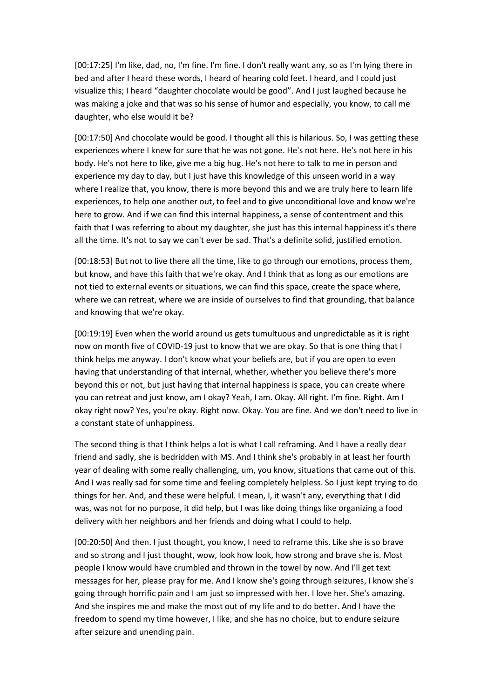[00:17:25] I'm like, dad, no, I'm fine. I'm fine. I don't really want any, so as I'm lying there in bed and after I heard these words, I heard of hearing cold feet. I heard, and I could just visualize this; I heard "daughter chocolate would be good". And I just laughed because he was making a joke and that was so his sense of humor and especially, you know, to call me daughter, who else would it be?

[00:17:50] And chocolate would be good. I thought all this is hilarious. So, I was getting these experiences where I knew for sure that he was not gone. He's not here. He's not here in his body. He's not here to like, give me a big hug. He's not here to talk to me in person and experience my day to day, but I just have this knowledge of this unseen world in a way where I realize that, you know, there is more beyond this and we are truly here to learn life experiences, to help one another out, to feel and to give unconditional love and know we're here to grow. And if we can find this internal happiness, a sense of contentment and this faith that I was referring to about my daughter, she just has this internal happiness it's there all the time. It's not to say we can't ever be sad. That's a definite solid, justified emotion.

[00:18:53] But not to live there all the time, like to go through our emotions, process them, but know, and have this faith that we're okay. And I think that as long as our emotions are not tied to external events or situations, we can find this space, create the space where, where we can retreat, where we are inside of ourselves to find that grounding, that balance and knowing that we're okay.

[00:19:19] Even when the world around us gets tumultuous and unpredictable as it is right now on month five of COVID-19 just to know that we are okay. So that is one thing that I think helps me anyway. I don't know what your beliefs are, but if you are open to even having that understanding of that internal, whether, whether you believe there's more beyond this or not, but just having that internal happiness is space, you can create where you can retreat and just know, am I okay? Yeah, I am. Okay. All right. I'm fine. Right. Am I okay right now? Yes, you're okay. Right now. Okay. You are fine. And we don't need to live in a constant state of unhappiness.

The second thing is that I think helps a lot is what I call reframing. And I have a really dear friend and sadly, she is bedridden with MS. And I think she's probably in at least her fourth year of dealing with some really challenging, um, you know, situations that came out of this. And I was really sad for some time and feeling completely helpless. So I just kept trying to do things for her. And, and these were helpful. I mean, I, it wasn't any, everything that I did was, was not for no purpose, it did help, but I was like doing things like organizing a food delivery with her neighbors and her friends and doing what I could to help.

[00:20:50] And then. I just thought, you know, I need to reframe this. Like she is so brave and so strong and I just thought, wow, look how look, how strong and brave she is. Most people I know would have crumbled and thrown in the towel by now. And I'll get text messages for her, please pray for me. And I know she's going through seizures, I know she's going through horrific pain and I am just so impressed with her. I love her. She's amazing. And she inspires me and make the most out of my life and to do better. And I have the freedom to spend my time however, I like, and she has no choice, but to endure seizure after seizure and unending pain.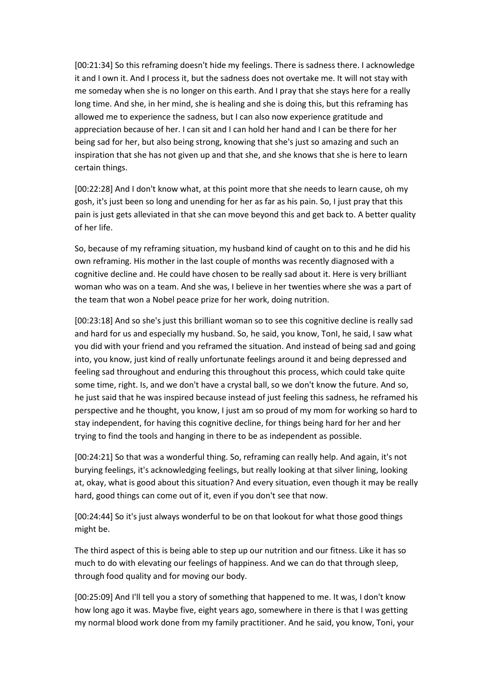[00:21:34] So this reframing doesn't hide my feelings. There is sadness there. I acknowledge it and I own it. And I process it, but the sadness does not overtake me. It will not stay with me someday when she is no longer on this earth. And I pray that she stays here for a really long time. And she, in her mind, she is healing and she is doing this, but this reframing has allowed me to experience the sadness, but I can also now experience gratitude and appreciation because of her. I can sit and I can hold her hand and I can be there for her being sad for her, but also being strong, knowing that she's just so amazing and such an inspiration that she has not given up and that she, and she knows that she is here to learn certain things.

[00:22:28] And I don't know what, at this point more that she needs to learn cause, oh my gosh, it's just been so long and unending for her as far as his pain. So, I just pray that this pain is just gets alleviated in that she can move beyond this and get back to. A better quality of her life.

So, because of my reframing situation, my husband kind of caught on to this and he did his own reframing. His mother in the last couple of months was recently diagnosed with a cognitive decline and. He could have chosen to be really sad about it. Here is very brilliant woman who was on a team. And she was, I believe in her twenties where she was a part of the team that won a Nobel peace prize for her work, doing nutrition.

[00:23:18] And so she's just this brilliant woman so to see this cognitive decline is really sad and hard for us and especially my husband. So, he said, you know, TonI, he said, I saw what you did with your friend and you reframed the situation. And instead of being sad and going into, you know, just kind of really unfortunate feelings around it and being depressed and feeling sad throughout and enduring this throughout this process, which could take quite some time, right. Is, and we don't have a crystal ball, so we don't know the future. And so, he just said that he was inspired because instead of just feeling this sadness, he reframed his perspective and he thought, you know, I just am so proud of my mom for working so hard to stay independent, for having this cognitive decline, for things being hard for her and her trying to find the tools and hanging in there to be as independent as possible.

[00:24:21] So that was a wonderful thing. So, reframing can really help. And again, it's not burying feelings, it's acknowledging feelings, but really looking at that silver lining, looking at, okay, what is good about this situation? And every situation, even though it may be really hard, good things can come out of it, even if you don't see that now.

[00:24:44] So it's just always wonderful to be on that lookout for what those good things might be.

The third aspect of this is being able to step up our nutrition and our fitness. Like it has so much to do with elevating our feelings of happiness. And we can do that through sleep, through food quality and for moving our body.

[00:25:09] And I'll tell you a story of something that happened to me. It was, I don't know how long ago it was. Maybe five, eight years ago, somewhere in there is that I was getting my normal blood work done from my family practitioner. And he said, you know, Toni, your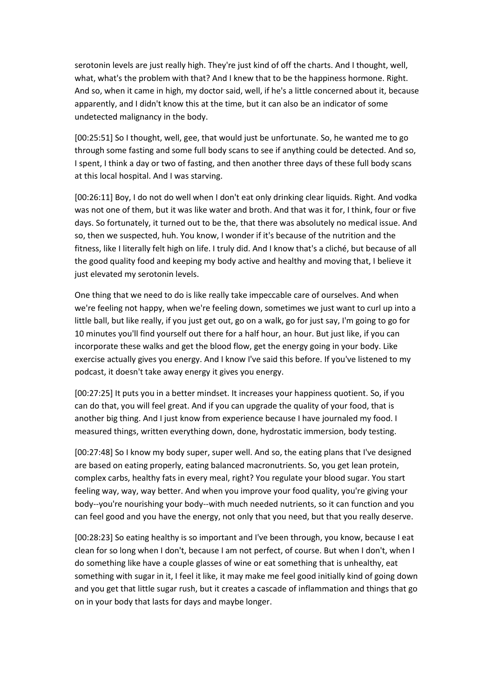serotonin levels are just really high. They're just kind of off the charts. And I thought, well, what, what's the problem with that? And I knew that to be the happiness hormone. Right. And so, when it came in high, my doctor said, well, if he's a little concerned about it, because apparently, and I didn't know this at the time, but it can also be an indicator of some undetected malignancy in the body.

[00:25:51] So I thought, well, gee, that would just be unfortunate. So, he wanted me to go through some fasting and some full body scans to see if anything could be detected. And so, I spent, I think a day or two of fasting, and then another three days of these full body scans at this local hospital. And I was starving.

[00:26:11] Boy, I do not do well when I don't eat only drinking clear liquids. Right. And vodka was not one of them, but it was like water and broth. And that was it for, I think, four or five days. So fortunately, it turned out to be the, that there was absolutely no medical issue. And so, then we suspected, huh. You know, I wonder if it's because of the nutrition and the fitness, like I literally felt high on life. I truly did. And I know that's a cliché, but because of all the good quality food and keeping my body active and healthy and moving that, I believe it just elevated my serotonin levels.

One thing that we need to do is like really take impeccable care of ourselves. And when we're feeling not happy, when we're feeling down, sometimes we just want to curl up into a little ball, but like really, if you just get out, go on a walk, go for just say, I'm going to go for 10 minutes you'll find yourself out there for a half hour, an hour. But just like, if you can incorporate these walks and get the blood flow, get the energy going in your body. Like exercise actually gives you energy. And I know I've said this before. If you've listened to my podcast, it doesn't take away energy it gives you energy.

[00:27:25] It puts you in a better mindset. It increases your happiness quotient. So, if you can do that, you will feel great. And if you can upgrade the quality of your food, that is another big thing. And I just know from experience because I have journaled my food. I measured things, written everything down, done, hydrostatic immersion, body testing.

[00:27:48] So I know my body super, super well. And so, the eating plans that I've designed are based on eating properly, eating balanced macronutrients. So, you get lean protein, complex carbs, healthy fats in every meal, right? You regulate your blood sugar. You start feeling way, way, way better. And when you improve your food quality, you're giving your body--you're nourishing your body--with much needed nutrients, so it can function and you can feel good and you have the energy, not only that you need, but that you really deserve.

[00:28:23] So eating healthy is so important and I've been through, you know, because I eat clean for so long when I don't, because I am not perfect, of course. But when I don't, when I do something like have a couple glasses of wine or eat something that is unhealthy, eat something with sugar in it, I feel it like, it may make me feel good initially kind of going down and you get that little sugar rush, but it creates a cascade of inflammation and things that go on in your body that lasts for days and maybe longer.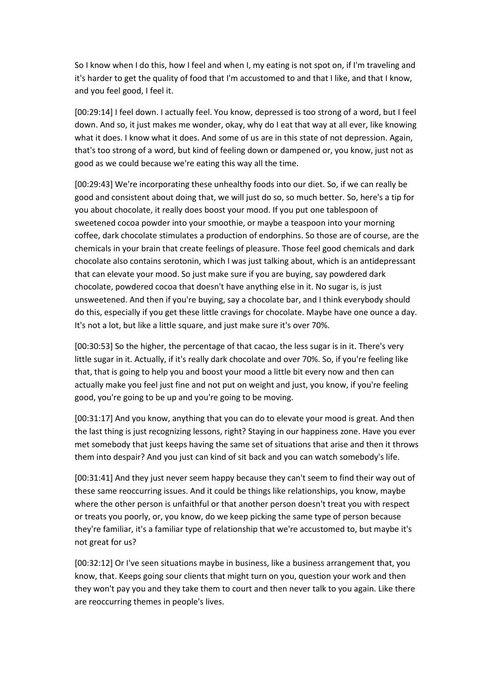So I know when I do this, how I feel and when I, my eating is not spot on, if I'm traveling and it's harder to get the quality of food that I'm accustomed to and that I like, and that I know, and you feel good, I feel it.

[00:29:14] I feel down. I actually feel. You know, depressed is too strong of a word, but I feel down. And so, it just makes me wonder, okay, why do I eat that way at all ever, like knowing what it does. I know what it does. And some of us are in this state of not depression. Again, that's too strong of a word, but kind of feeling down or dampened or, you know, just not as good as we could because we're eating this way all the time.

[00:29:43] We're incorporating these unhealthy foods into our diet. So, if we can really be good and consistent about doing that, we will just do so, so much better. So, here's a tip for you about chocolate, it really does boost your mood. If you put one tablespoon of sweetened cocoa powder into your smoothie, or maybe a teaspoon into your morning coffee, dark chocolate stimulates a production of endorphins. So those are of course, are the chemicals in your brain that create feelings of pleasure. Those feel good chemicals and dark chocolate also contains serotonin, which I was just talking about, which is an antidepressant that can elevate your mood. So just make sure if you are buying, say powdered dark chocolate, powdered cocoa that doesn't have anything else in it. No sugar is, is just unsweetened. And then if you're buying, say a chocolate bar, and I think everybody should do this, especially if you get these little cravings for chocolate. Maybe have one ounce a day. It's not a lot, but like a little square, and just make sure it's over 70%.

[00:30:53] So the higher, the percentage of that cacao, the less sugar is in it. There's very little sugar in it. Actually, if it's really dark chocolate and over 70%. So, if you're feeling like that, that is going to help you and boost your mood a little bit every now and then can actually make you feel just fine and not put on weight and just, you know, if you're feeling good, you're going to be up and you're going to be moving.

[00:31:17] And you know, anything that you can do to elevate your mood is great. And then the last thing is just recognizing lessons, right? Staying in our happiness zone. Have you ever met somebody that just keeps having the same set of situations that arise and then it throws them into despair? And you just can kind of sit back and you can watch somebody's life.

[00:31:41] And they just never seem happy because they can't seem to find their way out of these same reoccurring issues. And it could be things like relationships, you know, maybe where the other person is unfaithful or that another person doesn't treat you with respect or treats you poorly, or, you know, do we keep picking the same type of person because they're familiar, it's a familiar type of relationship that we're accustomed to, but maybe it's not great for us?

[00:32:12] Or I've seen situations maybe in business, like a business arrangement that, you know, that. Keeps going sour clients that might turn on you, question your work and then they won't pay you and they take them to court and then never talk to you again. Like there are reoccurring themes in people's lives.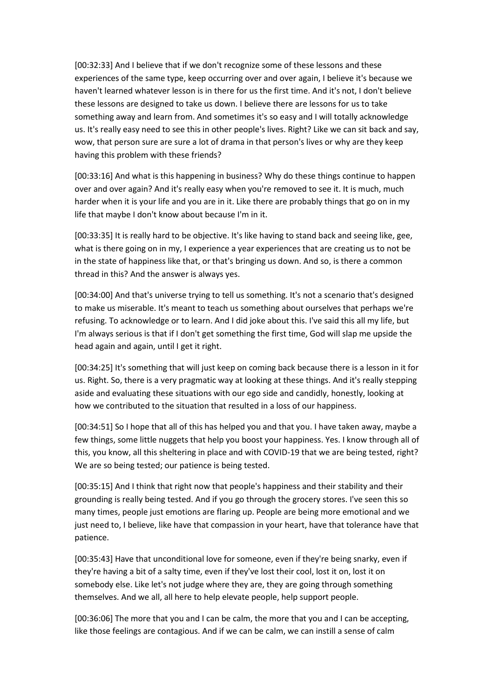[00:32:33] And I believe that if we don't recognize some of these lessons and these experiences of the same type, keep occurring over and over again, I believe it's because we haven't learned whatever lesson is in there for us the first time. And it's not, I don't believe these lessons are designed to take us down. I believe there are lessons for us to take something away and learn from. And sometimes it's so easy and I will totally acknowledge us. It's really easy need to see this in other people's lives. Right? Like we can sit back and say, wow, that person sure are sure a lot of drama in that person's lives or why are they keep having this problem with these friends?

[00:33:16] And what is this happening in business? Why do these things continue to happen over and over again? And it's really easy when you're removed to see it. It is much, much harder when it is your life and you are in it. Like there are probably things that go on in my life that maybe I don't know about because I'm in it.

[00:33:35] It is really hard to be objective. It's like having to stand back and seeing like, gee, what is there going on in my, I experience a year experiences that are creating us to not be in the state of happiness like that, or that's bringing us down. And so, is there a common thread in this? And the answer is always yes.

[00:34:00] And that's universe trying to tell us something. It's not a scenario that's designed to make us miserable. It's meant to teach us something about ourselves that perhaps we're refusing. To acknowledge or to learn. And I did joke about this. I've said this all my life, but I'm always serious is that if I don't get something the first time, God will slap me upside the head again and again, until I get it right.

[00:34:25] It's something that will just keep on coming back because there is a lesson in it for us. Right. So, there is a very pragmatic way at looking at these things. And it's really stepping aside and evaluating these situations with our ego side and candidly, honestly, looking at how we contributed to the situation that resulted in a loss of our happiness.

[00:34:51] So I hope that all of this has helped you and that you. I have taken away, maybe a few things, some little nuggets that help you boost your happiness. Yes. I know through all of this, you know, all this sheltering in place and with COVID-19 that we are being tested, right? We are so being tested; our patience is being tested.

[00:35:15] And I think that right now that people's happiness and their stability and their grounding is really being tested. And if you go through the grocery stores. I've seen this so many times, people just emotions are flaring up. People are being more emotional and we just need to, I believe, like have that compassion in your heart, have that tolerance have that patience.

[00:35:43] Have that unconditional love for someone, even if they're being snarky, even if they're having a bit of a salty time, even if they've lost their cool, lost it on, lost it on somebody else. Like let's not judge where they are, they are going through something themselves. And we all, all here to help elevate people, help support people.

[00:36:06] The more that you and I can be calm, the more that you and I can be accepting, like those feelings are contagious. And if we can be calm, we can instill a sense of calm